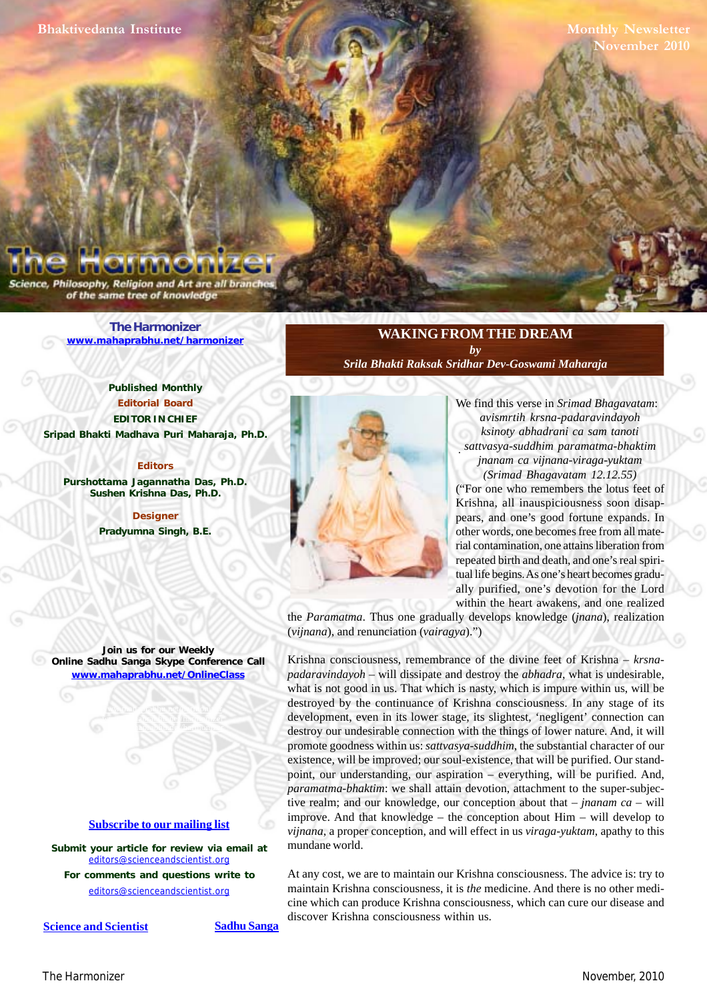**Monthly Newsletter November 2010**

Philosophy, Religion and Art are all brar of the same tree of knowledge

> **[The Harmonizer](http://mahaprabhu.net/harmonizer) www.mahaprabhu.net/harmonizer**

**Published Monthly Editorial Board EDITOR IN CHIEF [Sripad Bhakti Madhava Puri Maharaja, Ph.D.](http://mahaprabhu.net/sadhusanga/blog1.php/2009/10/01/affectionate-guardians)**

**Editors Purshottama Jagannatha Das, Ph.D. Sushen Krishna Das, Ph.D.**

> **Designer Pradyumna Singh, B.E.**



 . We find this verse in *Srimad Bhagavatam*: *avismrtih krsna-padaravindayoh ksinoty abhadrani ca sam tanoti sattvasya-suddhim paramatma-bhaktim jnanam ca vijnana-viraga-yuktam (Srimad Bhagavatam 12.12.55)* ("For one who remembers the lotus feet of Krishna, all inauspiciousness soon disap-

pears, and one's good fortune expands. In other words, one becomes free from all material contamination, one attains liberation from repeated birth and death, and one's real spiritual life begins. As one's heart becomes gradually purified, one's devotion for the Lord within the heart awakens, and one realized

the *Paramatma*. Thus one gradually develops knowledge (*jnana*), realization (*vijnana*), and renunciation (*vairagya*).")

**WAKING FROM THE DREAM** *by [Srila Bhakti Raksak Sridhar Dev-Goswami Maharaja](http://www.scsmath.com/docs/sridhar_maharaj.html)*

Krishna consciousness, remembrance of the divine feet of Krishna – *krsnapadaravindayoh* – will dissipate and destroy the *abhadra*, what is undesirable, what is not good in us. That which is nasty, which is impure within us, will be destroyed by the continuance of Krishna consciousness. In any stage of its development, even in its lower stage, its slightest, 'negligent' connection can destroy our undesirable connection with the things of lower nature. And, it will promote goodness within us: *sattvasya-suddhim*, the substantial character of our existence, will be improved; our soul-existence, that will be purified. Our standpoint, our understanding, our aspiration – everything, will be purified. And, *paramatma-bhaktim*: we shall attain devotion, attachment to the super-subjective realm; and our knowledge, our conception about that – *jnanam ca* – will improve. And that knowledge – the conception about Him – will develop to *vijnana*, a proper conception, and will effect in us *viraga-yuktam*, apathy to this mundane world.

At any cost, we are to maintain our Krishna consciousness. The advice is: try to maintain Krishna consciousness, it is *the* medicine. And there is no other medicine which can produce Krishna consciousness, which can cure our disease and discover Krishna consciousness within us.

**Join us for our Weekly Online Sadhu Sanga Skype Conference Call www.mahaprabhu.net/OnlineClass**

> www.mahaprabhu.net/harmonizer www.mahapprabhu.net/harmonizer www.mahaprabhu.net/harmonizer

#### **<u>Subscribe to our mailing list</u>**

**Submit your article for review via email at** editors@scienceandscientist.org

**For comments and questions write to** editors@scienceandscientist.org

**<u>Science and Scientist</u> Sadhu Sanga**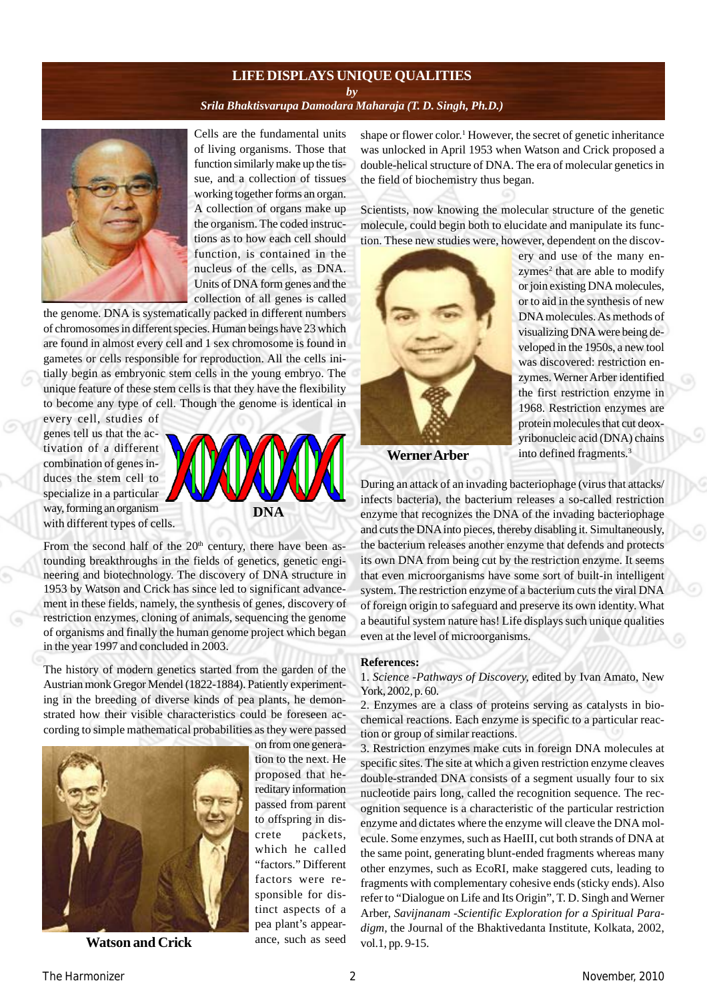## **LIFE DISPLAYS UNIQUE QUALITIES**

*by*

#### *[Srila Bhaktisvarupa Damodara Maharaja \(T. D. Singh, Ph.D.\)](http://mahaprabhu.net/sadhusanga/blog1.php/2009/10/01/affectionate-guardians)*



Cells are the fundamental units of living organisms. Those that function similarly make up the tissue, and a collection of tissues working together forms an organ. A collection of organs make up the organism. The coded instructions as to how each cell should function, is contained in the nucleus of the cells, as DNA. Units of DNA form genes and the collection of all genes is called

the genome. DNA is systematically packed in different numbers of chromosomes in different species. Human beings have 23 which are found in almost every cell and 1 sex chromosome is found in gametes or cells responsible for reproduction. All the cells initially begin as embryonic stem cells in the young embryo. The unique feature of these stem cells is that they have the flexibility to become any type of cell. Though the genome is identical in

every cell, studies of genes tell us that the activation of a different combination of genes induces the stem cell to specialize in a particular way, forming an organism with different types of cells.



From the second half of the  $20<sup>th</sup>$  century, there have been astounding breakthroughs in the fields of genetics, genetic engineering and biotechnology. The discovery of DNA structure in 1953 by Watson and Crick has since led to significant advancement in these fields, namely, the synthesis of genes, discovery of restriction enzymes, cloning of animals, sequencing the genome of organisms and finally the human genome project which began in the year 1997 and concluded in 2003.

The history of modern genetics started from the garden of the Austrian monk Gregor Mendel (1822-1884). Patiently experimenting in the breeding of diverse kinds of pea plants, he demonstrated how their visible characteristics could be foreseen according to simple mathematical probabilities as they were passed



**Watson and Crick**

on from one generation to the next. He proposed that hereditary information passed from parent to offspring in discrete packets, which he called "factors." Different factors were responsible for distinct aspects of a pea plant's appearance, such as seed

shape or flower color.<sup>1</sup> However, the secret of genetic inheritance was unlocked in April 1953 when Watson and Crick proposed a double-helical structure of DNA. The era of molecular genetics in the field of biochemistry thus began.

Scientists, now knowing the molecular structure of the genetic molecule, could begin both to elucidate and manipulate its function. These new studies were, however, dependent on the discov-



ery and use of the many enzymes<sup>2</sup> that are able to modify or join existing DNA molecules, or to aid in the synthesis of new DNA molecules. As methods of visualizing DNA were being developed in the 1950s, a new tool was discovered: restriction enzymes. Werner Arber identified the first restriction enzyme in 1968. Restriction enzymes are protein molecules that cut deoxyribonucleic acid (DNA) chains into defined fragments.<sup>3</sup>

**Werner Arber**

During an attack of an invading bacteriophage (virus that attacks/ infects bacteria), the bacterium releases a so-called restriction enzyme that recognizes the DNA of the invading bacteriophage and cuts the DNA into pieces, thereby disabling it. Simultaneously, the bacterium releases another enzyme that defends and protects its own DNA from being cut by the restriction enzyme. It seems that even microorganisms have some sort of built-in intelligent system. The restriction enzyme of a bacterium cuts the viral DNA of foreign origin to safeguard and preserve its own identity. What a beautiful system nature has! Life displays such unique qualities even at the level of microorganisms.

#### **References:**

1. *Science* -*Pathways of Discovery,* edited by Ivan Amato, New York, 2002, p. 60.

2. Enzymes are a class of proteins serving as catalysts in biochemical reactions. Each enzyme is specific to a particular reaction or group of similar reactions.

3. Restriction enzymes make cuts in foreign DNA molecules at specific sites. The site at which a given restriction enzyme cleaves double-stranded DNA consists of a segment usually four to six nucleotide pairs long, called the recognition sequence. The recognition sequence is a characteristic of the particular restriction enzyme and dictates where the enzyme will cleave the DNA molecule. Some enzymes, such as HaeIII, cut both strands of DNA at the same point, generating blunt-ended fragments whereas many other enzymes, such as EcoRI, make staggered cuts, leading to fragments with complementary cohesive ends (sticky ends). Also refer to "Dialogue on Life and Its Origin", T. D. Singh and Werner Arber, *Savijnanam* -*Scientific Exploration for a Spiritual Paradigm,* the Journal of the Bhaktivedanta Institute, Kolkata, 2002, vol.1, pp. 9-15.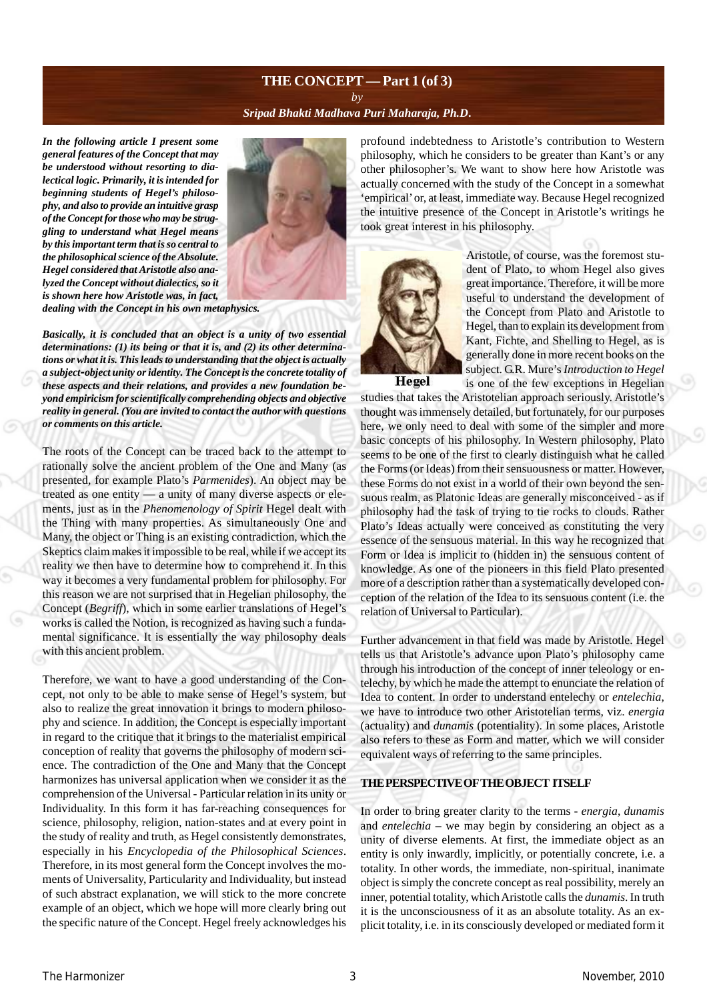# **THE CONCEPT — Part 1 (of 3)** *by [Sripad Bhakti Madhava Puri Maharaja, Ph.D](http://mahaprabhu.net/sadhusanga/blog1.php/2009/10/01/affectionate-guardians)***.**

*In the following article I present some general features of the Concept that may be understood without resorting to dialectical logic. Primarily, it is intended for beginning students of Hegel's philosophy, and also to provide an intuitive grasp of the Concept for those who may be struggling to understand what Hegel means by this important term that is so central to the philosophical science of the Absolute. Hegel considered that Aristotle also analyzed the Concept without dialectics, so it is shown here how Aristotle was, in fact,*



*dealing with the Concept in his own metaphysics.*

*Basically, it is concluded that an object is a unity of two essential determinations: (1) its being or that it is, and (2) its other determinations or what it is. This leads to understanding that the object is actually a subject***-***object unity or identity. The Concept is the concrete totality of these aspects and their relations, and provides a new foundation beyond empiricism for scientifically comprehending objects and objective reality in general. (You are invited to contact the author with questions or comments on this article.*

The roots of the Concept can be traced back to the attempt to rationally solve the ancient problem of the One and Many (as presented, for example Plato's *Parmenides*). An object may be treated as one entity — a unity of many diverse aspects or elements, just as in the *Phenomenology of Spirit* Hegel dealt with the Thing with many properties. As simultaneously One and Many, the object or Thing is an existing contradiction, which the Skeptics claim makes it impossible to be real, while if we accept its reality we then have to determine how to comprehend it. In this way it becomes a very fundamental problem for philosophy. For this reason we are not surprised that in Hegelian philosophy, the Concept (*Begriff*), which in some earlier translations of Hegel's works is called the Notion, is recognized as having such a fundamental significance. It is essentially the way philosophy deals with this ancient problem.

Therefore, we want to have a good understanding of the Concept, not only to be able to make sense of Hegel's system, but also to realize the great innovation it brings to modern philosophy and science. In addition, the Concept is especially important in regard to the critique that it brings to the materialist empirical conception of reality that governs the philosophy of modern science. The contradiction of the One and Many that the Concept harmonizes has universal application when we consider it as the comprehension of the Universal - Particular relation in its unity or Individuality. In this form it has far-reaching consequences for science, philosophy, religion, nation-states and at every point in the study of reality and truth, as Hegel consistently demonstrates, especially in his *Encyclopedia of the Philosophical Sciences*. Therefore, in its most general form the Concept involves the moments of Universality, Particularity and Individuality, but instead of such abstract explanation, we will stick to the more concrete example of an object, which we hope will more clearly bring out the specific nature of the Concept. Hegel freely acknowledges his

profound indebtedness to Aristotle's contribution to Western philosophy, which he considers to be greater than Kant's or any other philosopher's. We want to show here how Aristotle was actually concerned with the study of the Concept in a somewhat 'empirical' or, at least, immediate way. Because Hegel recognized the intuitive presence of the Concept in Aristotle's writings he took great interest in his philosophy.



Aristotle, of course, was the foremost student of Plato, to whom Hegel also gives great importance. Therefore, it will be more useful to understand the development of the Concept from Plato and Aristotle to Hegel, than to explain its development from Kant, Fichte, and Shelling to Hegel, as is generally done in more recent books on the subject. G.R. Mure's *Introduction to Hegel* is one of the few exceptions in Hegelian

Hegel

studies that takes the Aristotelian approach seriously. Aristotle's thought was immensely detailed, but fortunately, for our purposes here, we only need to deal with some of the simpler and more basic concepts of his philosophy. In Western philosophy, Plato seems to be one of the first to clearly distinguish what he called the Forms (or Ideas) from their sensuousness or matter. However, these Forms do not exist in a world of their own beyond the sensuous realm, as Platonic Ideas are generally misconceived - as if philosophy had the task of trying to tie rocks to clouds. Rather Plato's Ideas actually were conceived as constituting the very essence of the sensuous material. In this way he recognized that Form or Idea is implicit to (hidden in) the sensuous content of knowledge. As one of the pioneers in this field Plato presented more of a description rather than a systematically developed conception of the relation of the Idea to its sensuous content (i.e. the relation of Universal to Particular).

Further advancement in that field was made by Aristotle. Hegel tells us that Aristotle's advance upon Plato's philosophy came through his introduction of the concept of inner teleology or entelechy, by which he made the attempt to enunciate the relation of Idea to content. In order to understand entelechy or *entelechia*, we have to introduce two other Aristotelian terms, viz. *energia* (actuality) and *dunamis* (potentiality). In some places, Aristotle also refers to these as Form and matter, which we will consider equivalent ways of referring to the same principles.

#### **THE PERSPECTIVE OF THE OBJECT ITSELF**

In order to bring greater clarity to the terms - *energia*, *dunamis* and *entelechia* – we may begin by considering an object as a unity of diverse elements. At first, the immediate object as an entity is only inwardly, implicitly, or potentially concrete, i.e. a totality. In other words, the immediate, non-spiritual, inanimate object is simply the concrete concept as real possibility, merely an inner, potential totality, which Aristotle calls the *dunamis*. In truth it is the unconsciousness of it as an absolute totality. As an explicit totality, i.e. in its consciously developed or mediated form it